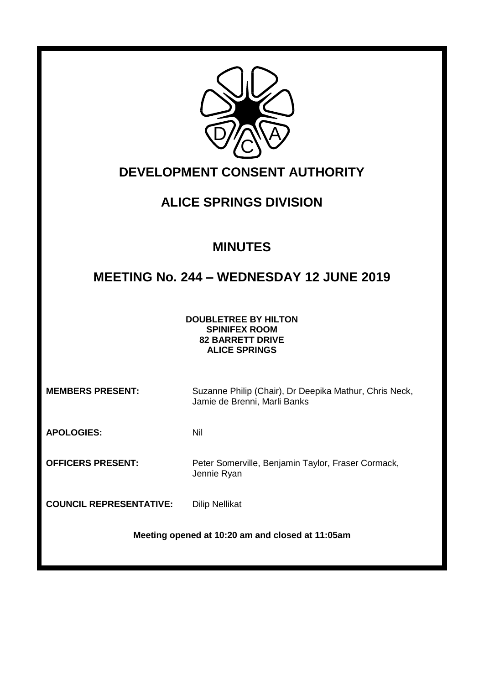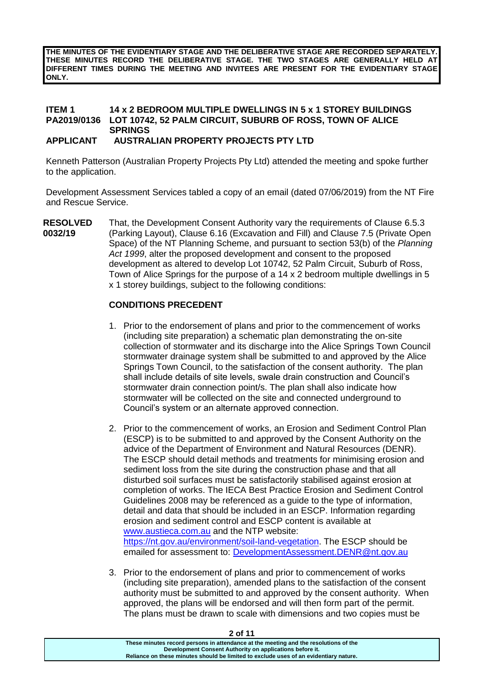**THE MINUTES OF THE EVIDENTIARY STAGE AND THE DELIBERATIVE STAGE ARE RECORDED SEPARATELY. THESE MINUTES RECORD THE DELIBERATIVE STAGE. THE TWO STAGES ARE GENERALLY HELD AT DIFFERENT TIMES DURING THE MEETING AND INVITEES ARE PRESENT FOR THE EVIDENTIARY STAGE ONLY.**

# **ITEM 1 14 x 2 BEDROOM MULTIPLE DWELLINGS IN 5 x 1 STOREY BUILDINGS** LOT 10742, 52 PALM CIRCUIT, SUBURB OF ROSS, TOWN OF ALICE **SPRINGS**

## **APPLICANT AUSTRALIAN PROPERTY PROJECTS PTY LTD**

Kenneth Patterson (Australian Property Projects Pty Ltd) attended the meeting and spoke further to the application.

Development Assessment Services tabled a copy of an email (dated 07/06/2019) from the NT Fire and Rescue Service.

**RESOLVED 0032/19** That, the Development Consent Authority vary the requirements of Clause 6.5.3 (Parking Layout), Clause 6.16 (Excavation and Fill) and Clause 7.5 (Private Open Space) of the NT Planning Scheme, and pursuant to section 53(b) of the *Planning Act 1999*, alter the proposed development and consent to the proposed development as altered to develop Lot 10742, 52 Palm Circuit, Suburb of Ross, Town of Alice Springs for the purpose of a 14 x 2 bedroom multiple dwellings in 5 x 1 storey buildings, subject to the following conditions:

## **CONDITIONS PRECEDENT**

- 1. Prior to the endorsement of plans and prior to the commencement of works (including site preparation) a schematic plan demonstrating the on-site collection of stormwater and its discharge into the Alice Springs Town Council stormwater drainage system shall be submitted to and approved by the Alice Springs Town Council, to the satisfaction of the consent authority. The plan shall include details of site levels, swale drain construction and Council's stormwater drain connection point/s. The plan shall also indicate how stormwater will be collected on the site and connected underground to Council's system or an alternate approved connection.
- 2. Prior to the commencement of works, an Erosion and Sediment Control Plan (ESCP) is to be submitted to and approved by the Consent Authority on the advice of the Department of Environment and Natural Resources (DENR). The ESCP should detail methods and treatments for minimising erosion and sediment loss from the site during the construction phase and that all disturbed soil surfaces must be satisfactorily stabilised against erosion at completion of works. The IECA Best Practice Erosion and Sediment Control Guidelines 2008 may be referenced as a guide to the type of information, detail and data that should be included in an ESCP. Information regarding erosion and sediment control and ESCP content is available at [www.austieca.com.au](http://www.austieca.com.au/) and the NTP website: [https://nt.gov.au/environment/soil-land-vegetation.](https://nt.gov.au/environment/soil-land-vegetation) The ESCP should be emailed for assessment to: [DevelopmentAssessment.DENR@nt.gov.au](mailto:DevelopmentAssessment.DENR@nt.gov.au)
- 3. Prior to the endorsement of plans and prior to commencement of works (including site preparation), amended plans to the satisfaction of the consent authority must be submitted to and approved by the consent authority. When approved, the plans will be endorsed and will then form part of the permit. The plans must be drawn to scale with dimensions and two copies must be

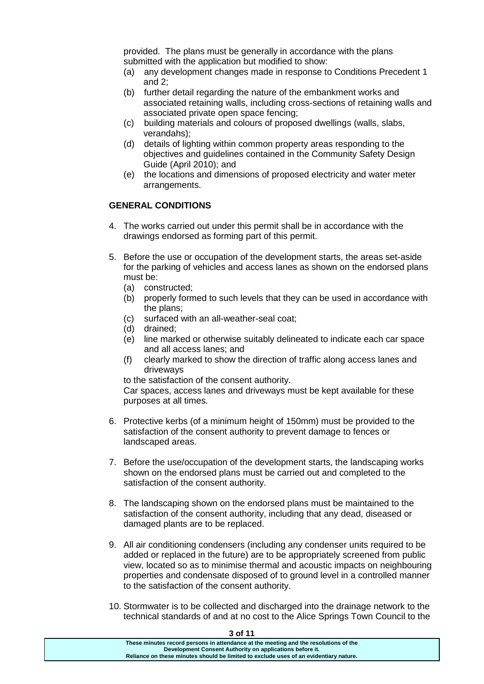provided. The plans must be generally in accordance with the plans submitted with the application but modified to show:

- (a) any development changes made in response to Conditions Precedent 1 and 2;
- (b) further detail regarding the nature of the embankment works and associated retaining walls, including cross-sections of retaining walls and associated private open space fencing;
- (c) building materials and colours of proposed dwellings (walls, slabs, verandahs);
- (d) details of lighting within common property areas responding to the objectives and guidelines contained in the Community Safety Design Guide (April 2010); and
- (e) the locations and dimensions of proposed electricity and water meter arrangements.

# **GENERAL CONDITIONS**

- 4. The works carried out under this permit shall be in accordance with the drawings endorsed as forming part of this permit.
- 5. Before the use or occupation of the development starts, the areas set-aside for the parking of vehicles and access lanes as shown on the endorsed plans must be:
	- (a) constructed;
	- (b) properly formed to such levels that they can be used in accordance with the plans;
	- (c) surfaced with an all-weather-seal coat;
	- (d) drained;
	- (e) line marked or otherwise suitably delineated to indicate each car space and all access lanes; and
	- (f) clearly marked to show the direction of traffic along access lanes and driveways

to the satisfaction of the consent authority.

Car spaces, access lanes and driveways must be kept available for these purposes at all times.

- 6. Protective kerbs (of a minimum height of 150mm) must be provided to the satisfaction of the consent authority to prevent damage to fences or landscaped areas.
- 7. Before the use/occupation of the development starts, the landscaping works shown on the endorsed plans must be carried out and completed to the satisfaction of the consent authority.
- 8. The landscaping shown on the endorsed plans must be maintained to the satisfaction of the consent authority, including that any dead, diseased or damaged plants are to be replaced.
- 9. All air conditioning condensers (including any condenser units required to be added or replaced in the future) are to be appropriately screened from public view, located so as to minimise thermal and acoustic impacts on neighbouring properties and condensate disposed of to ground level in a controlled manner to the satisfaction of the consent authority.
- 10. Stormwater is to be collected and discharged into the drainage network to the technical standards of and at no cost to the Alice Springs Town Council to the

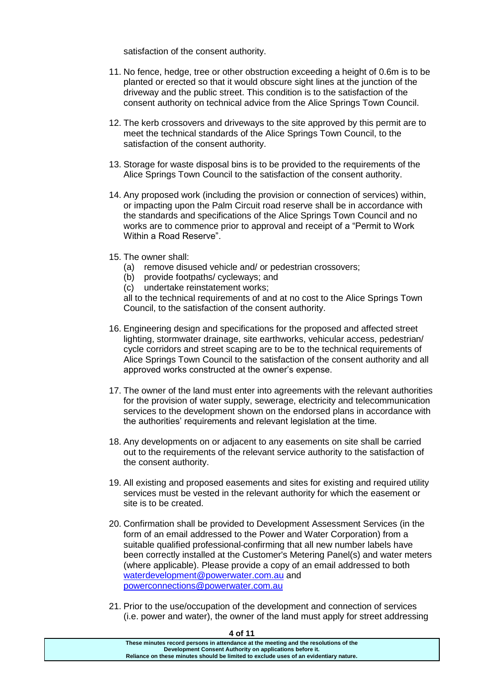satisfaction of the consent authority.

- 11. No fence, hedge, tree or other obstruction exceeding a height of 0.6m is to be planted or erected so that it would obscure sight lines at the junction of the driveway and the public street. This condition is to the satisfaction of the consent authority on technical advice from the Alice Springs Town Council.
- 12. The kerb crossovers and driveways to the site approved by this permit are to meet the technical standards of the Alice Springs Town Council, to the satisfaction of the consent authority.
- 13. Storage for waste disposal bins is to be provided to the requirements of the Alice Springs Town Council to the satisfaction of the consent authority.
- 14. Any proposed work (including the provision or connection of services) within, or impacting upon the Palm Circuit road reserve shall be in accordance with the standards and specifications of the Alice Springs Town Council and no works are to commence prior to approval and receipt of a "Permit to Work Within a Road Reserve".
- 15. The owner shall:
	- (a) remove disused vehicle and/ or pedestrian crossovers;
	- (b) provide footpaths/ cycleways; and
	- (c) undertake reinstatement works;

all to the technical requirements of and at no cost to the Alice Springs Town Council, to the satisfaction of the consent authority.

- 16. Engineering design and specifications for the proposed and affected street lighting, stormwater drainage, site earthworks, vehicular access, pedestrian/ cycle corridors and street scaping are to be to the technical requirements of Alice Springs Town Council to the satisfaction of the consent authority and all approved works constructed at the owner's expense.
- 17. The owner of the land must enter into agreements with the relevant authorities for the provision of water supply, sewerage, electricity and telecommunication services to the development shown on the endorsed plans in accordance with the authorities' requirements and relevant legislation at the time.
- 18. Any developments on or adjacent to any easements on site shall be carried out to the requirements of the relevant service authority to the satisfaction of the consent authority.
- 19. All existing and proposed easements and sites for existing and required utility services must be vested in the relevant authority for which the easement or site is to be created.
- 20. Confirmation shall be provided to Development Assessment Services (in the form of an email addressed to the Power and Water Corporation) from a suitable qualified professional-confirming that all new number labels have been correctly installed at the Customer's Metering Panel(s) and water meters (where applicable). Please provide a copy of an email addressed to both [waterdevelopment@powerwater.com.au](mailto:waterdevelopment@powerwater.com.au) and [powerconnections@powerwater.com.au](mailto:powerconnections@powerwater.com.au)
- 21. Prior to the use/occupation of the development and connection of services (i.e. power and water), the owner of the land must apply for street addressing

| -                                                                                     |  |
|---------------------------------------------------------------------------------------|--|
| These minutes record persons in attendance at the meeting and the resolutions of the  |  |
| Development Consent Authority on applications before it.                              |  |
| Reliance on these minutes should be limited to exclude uses of an evidentiary nature. |  |
|                                                                                       |  |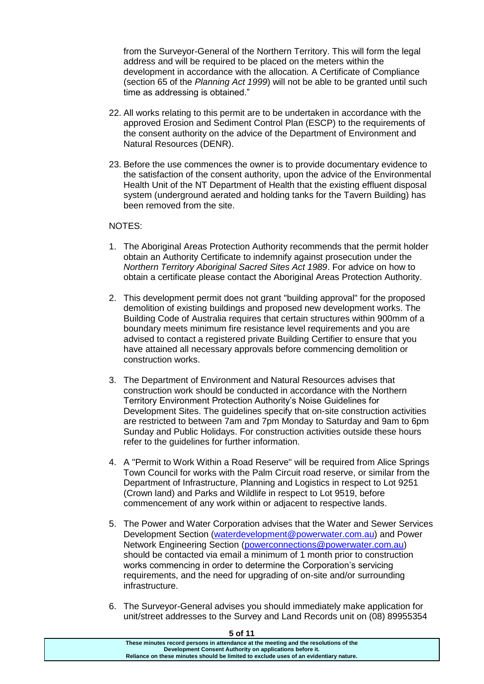from the Surveyor-General of the Northern Territory. This will form the legal address and will be required to be placed on the meters within the development in accordance with the allocation. A Certificate of Compliance (section 65 of the *Planning Act 1999*) will not be able to be granted until such time as addressing is obtained."

- 22. All works relating to this permit are to be undertaken in accordance with the approved Erosion and Sediment Control Plan (ESCP) to the requirements of the consent authority on the advice of the Department of Environment and Natural Resources (DENR).
- 23. Before the use commences the owner is to provide documentary evidence to the satisfaction of the consent authority, upon the advice of the Environmental Health Unit of the NT Department of Health that the existing effluent disposal system (underground aerated and holding tanks for the Tavern Building) has been removed from the site.

#### NOTES:

- 1. The Aboriginal Areas Protection Authority recommends that the permit holder obtain an Authority Certificate to indemnify against prosecution under the *Northern Territory Aboriginal Sacred Sites Act 1989*. For advice on how to obtain a certificate please contact the Aboriginal Areas Protection Authority.
- 2. This development permit does not grant "building approval" for the proposed demolition of existing buildings and proposed new development works. The Building Code of Australia requires that certain structures within 900mm of a boundary meets minimum fire resistance level requirements and you are advised to contact a registered private Building Certifier to ensure that you have attained all necessary approvals before commencing demolition or construction works.
- 3. The Department of Environment and Natural Resources advises that construction work should be conducted in accordance with the Northern Territory Environment Protection Authority's Noise Guidelines for Development Sites. The guidelines specify that on-site construction activities are restricted to between 7am and 7pm Monday to Saturday and 9am to 6pm Sunday and Public Holidays. For construction activities outside these hours refer to the guidelines for further information.
- 4. A "Permit to Work Within a Road Reserve" will be required from Alice Springs Town Council for works with the Palm Circuit road reserve, or similar from the Department of Infrastructure, Planning and Logistics in respect to Lot 9251 (Crown land) and Parks and Wildlife in respect to Lot 9519, before commencement of any work within or adjacent to respective lands.
- 5. The Power and Water Corporation advises that the Water and Sewer Services Development Section [\(waterdevelopment@powerwater.com.au\)](mailto:waterdevelopment@powerwater.com.au) and Power Network Engineering Section [\(powerconnections@powerwater.com.au\)](mailto:powerconnections@powerwater.com.au) should be contacted via email a minimum of 1 month prior to construction works commencing in order to determine the Corporation's servicing requirements, and the need for upgrading of on-site and/or surrounding infrastructure.
- 6. The Surveyor-General advises you should immediately make application for unit/street addresses to the Survey and Land Records unit on (08) 89955354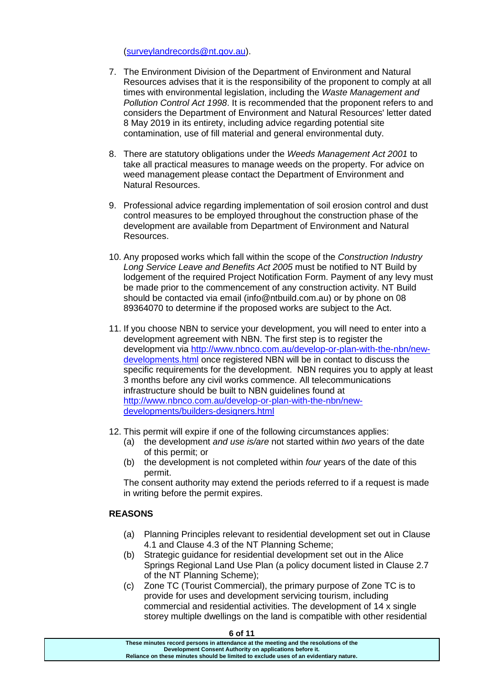[\(surveylandrecords@nt.gov.au\)](mailto:surveylandrecords@nt.gov.au).

- 7. The Environment Division of the Department of Environment and Natural Resources advises that it is the responsibility of the proponent to comply at all times with environmental legislation, including the *Waste Management and Pollution Control Act 1998*. It is recommended that the proponent refers to and considers the Department of Environment and Natural Resources' letter dated 8 May 2019 in its entirety, including advice regarding potential site contamination, use of fill material and general environmental duty.
- 8. There are statutory obligations under the *Weeds Management Act 2001* to take all practical measures to manage weeds on the property. For advice on weed management please contact the Department of Environment and Natural Resources.
- 9. Professional advice regarding implementation of soil erosion control and dust control measures to be employed throughout the construction phase of the development are available from Department of Environment and Natural Resources.
- 10. Any proposed works which fall within the scope of the *Construction Industry Long Service Leave and Benefits Act 2005* must be notified to NT Build by lodgement of the required Project Notification Form. Payment of any levy must be made prior to the commencement of any construction activity. NT Build should be contacted via email (info@ntbuild.com.au) or by phone on 08 89364070 to determine if the proposed works are subject to the Act.
- 11. If you choose NBN to service your development, you will need to enter into a development agreement with NBN. The first step is to register the development via [http://www.nbnco.com.au/develop-or-plan-with-the-nbn/new](http://www.nbnco.com.au/develop-or-plan-with-the-nbn/new-developments.html)[developments.html](http://www.nbnco.com.au/develop-or-plan-with-the-nbn/new-developments.html) once registered NBN will be in contact to discuss the specific requirements for the development. NBN requires you to apply at least 3 months before any civil works commence. All telecommunications infrastructure should be built to NBN guidelines found at [http://www.nbnco.com.au/develop-or-plan-with-the-nbn/new](http://www.nbnco.com.au/develop-or-plan-with-the-nbn/new-developments/builders-designers.html)[developments/builders-designers.html](http://www.nbnco.com.au/develop-or-plan-with-the-nbn/new-developments/builders-designers.html)
- 12. This permit will expire if one of the following circumstances applies:
	- (a) the development *and use is/are* not started within *two* years of the date of this permit; or
	- (b) the development is not completed within *four* years of the date of this permit.

The consent authority may extend the periods referred to if a request is made in writing before the permit expires.

# **REASONS**

- (a) Planning Principles relevant to residential development set out in Clause 4.1 and Clause 4.3 of the NT Planning Scheme;
- (b) Strategic guidance for residential development set out in the Alice Springs Regional Land Use Plan (a policy document listed in Clause 2.7 of the NT Planning Scheme);
- (c) Zone TC (Tourist Commercial), the primary purpose of Zone TC is to provide for uses and development servicing tourism, including commercial and residential activities. The development of 14 x single storey multiple dwellings on the land is compatible with other residential

**These minutes record persons in attendance at the meeting and the resolutions of the Development Consent Authority on applications before it. Reliance on these minutes should be limited to exclude uses of an evidentiary nature.**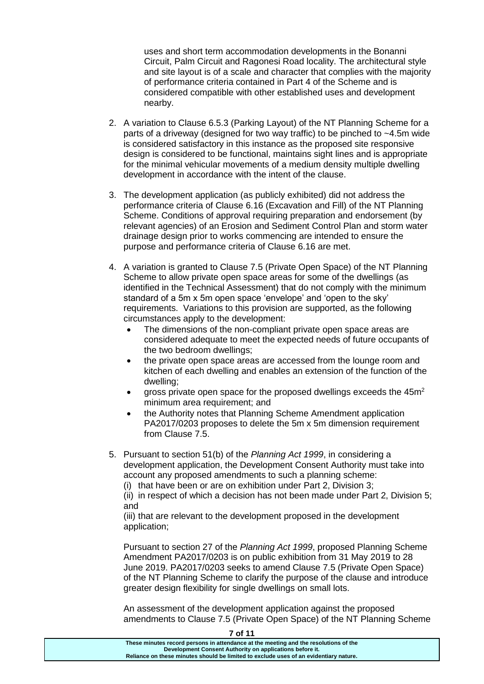uses and short term accommodation developments in the Bonanni Circuit, Palm Circuit and Ragonesi Road locality. The architectural style and site layout is of a scale and character that complies with the majority of performance criteria contained in Part 4 of the Scheme and is considered compatible with other established uses and development nearby.

- 2. A variation to Clause 6.5.3 (Parking Layout) of the NT Planning Scheme for a parts of a driveway (designed for two way traffic) to be pinched to  $\sim$ 4.5m wide is considered satisfactory in this instance as the proposed site responsive design is considered to be functional, maintains sight lines and is appropriate for the minimal vehicular movements of a medium density multiple dwelling development in accordance with the intent of the clause.
- 3. The development application (as publicly exhibited) did not address the performance criteria of Clause 6.16 (Excavation and Fill) of the NT Planning Scheme. Conditions of approval requiring preparation and endorsement (by relevant agencies) of an Erosion and Sediment Control Plan and storm water drainage design prior to works commencing are intended to ensure the purpose and performance criteria of Clause 6.16 are met.
- 4. A variation is granted to Clause 7.5 (Private Open Space) of the NT Planning Scheme to allow private open space areas for some of the dwellings (as identified in the Technical Assessment) that do not comply with the minimum standard of a 5m x 5m open space 'envelope' and 'open to the sky' requirements. Variations to this provision are supported, as the following circumstances apply to the development:
	- The dimensions of the non-compliant private open space areas are considered adequate to meet the expected needs of future occupants of the two bedroom dwellings;
	- the private open space areas are accessed from the lounge room and kitchen of each dwelling and enables an extension of the function of the dwelling;
	- gross private open space for the proposed dwellings exceeds the  $45m^2$ minimum area requirement; and
	- the Authority notes that Planning Scheme Amendment application PA2017/0203 proposes to delete the 5m x 5m dimension requirement from Clause 7.5.
- 5. Pursuant to section 51(b) of the *Planning Act 1999*, in considering a development application, the Development Consent Authority must take into account any proposed amendments to such a planning scheme:

(i) that have been or are on exhibition under Part 2, Division 3;

(ii) in respect of which a decision has not been made under Part 2, Division 5; and

(iii) that are relevant to the development proposed in the development application;

Pursuant to section 27 of the *Planning Act 1999*, proposed Planning Scheme Amendment PA2017/0203 is on public exhibition from 31 May 2019 to 28 June 2019. PA2017/0203 seeks to amend Clause 7.5 (Private Open Space) of the NT Planning Scheme to clarify the purpose of the clause and introduce greater design flexibility for single dwellings on small lots.

An assessment of the development application against the proposed amendments to Clause 7.5 (Private Open Space) of the NT Planning Scheme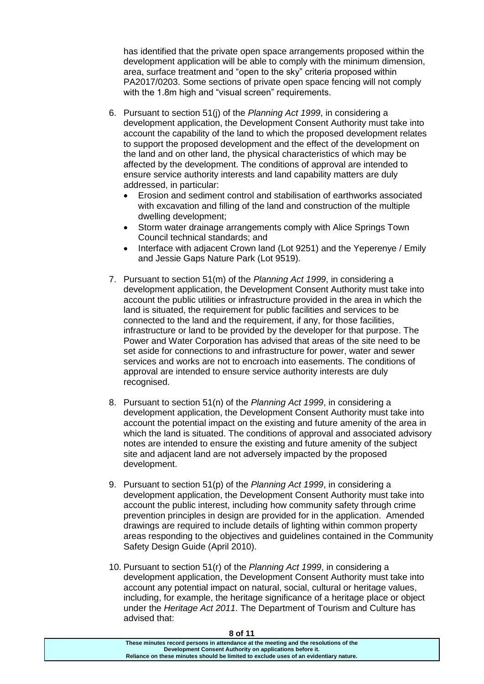has identified that the private open space arrangements proposed within the development application will be able to comply with the minimum dimension, area, surface treatment and "open to the sky" criteria proposed within PA2017/0203. Some sections of private open space fencing will not comply with the 1.8m high and "visual screen" requirements.

- 6. Pursuant to section 51(j) of the *Planning Act 1999*, in considering a development application, the Development Consent Authority must take into account the capability of the land to which the proposed development relates to support the proposed development and the effect of the development on the land and on other land, the physical characteristics of which may be affected by the development. The conditions of approval are intended to ensure service authority interests and land capability matters are duly addressed, in particular:
	- Erosion and sediment control and stabilisation of earthworks associated with excavation and filling of the land and construction of the multiple dwelling development;
	- Storm water drainage arrangements comply with Alice Springs Town Council technical standards; and
	- Interface with adjacent Crown land (Lot 9251) and the Yeperenye / Emily and Jessie Gaps Nature Park (Lot 9519).
- 7. Pursuant to section 51(m) of the *Planning Act 1999*, in considering a development application, the Development Consent Authority must take into account the public utilities or infrastructure provided in the area in which the land is situated, the requirement for public facilities and services to be connected to the land and the requirement, if any, for those facilities, infrastructure or land to be provided by the developer for that purpose. The Power and Water Corporation has advised that areas of the site need to be set aside for connections to and infrastructure for power, water and sewer services and works are not to encroach into easements. The conditions of approval are intended to ensure service authority interests are duly recognised.
- 8. Pursuant to section 51(n) of the *Planning Act 1999*, in considering a development application, the Development Consent Authority must take into account the potential impact on the existing and future amenity of the area in which the land is situated. The conditions of approval and associated advisory notes are intended to ensure the existing and future amenity of the subject site and adjacent land are not adversely impacted by the proposed development.
- 9. Pursuant to section 51(p) of the *Planning Act 1999*, in considering a development application, the Development Consent Authority must take into account the public interest, including how community safety through crime prevention principles in design are provided for in the application. Amended drawings are required to include details of lighting within common property areas responding to the objectives and guidelines contained in the Community Safety Design Guide (April 2010).
- 10. Pursuant to section 51(r) of the *Planning Act 1999*, in considering a development application, the Development Consent Authority must take into account any potential impact on natural, social, cultural or heritage values, including, for example, the heritage significance of a heritage place or object under the *Heritage Act 2011*. The Department of Tourism and Culture has advised that:

**8 of 11**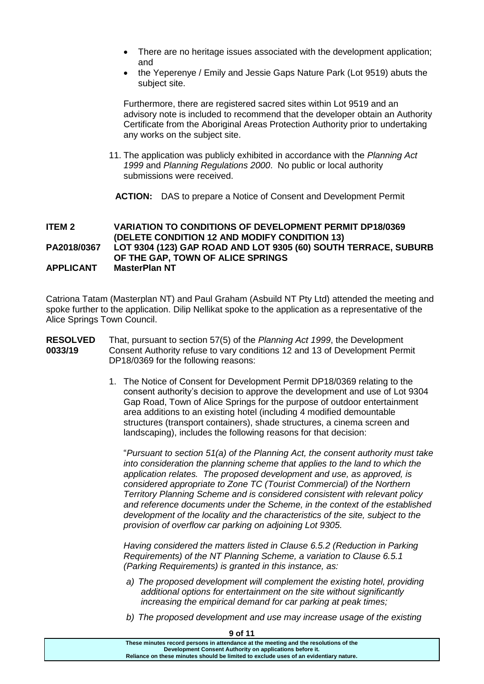- There are no heritage issues associated with the development application; and
- the Yeperenye / Emily and Jessie Gaps Nature Park (Lot 9519) abuts the subject site.

Furthermore, there are registered sacred sites within Lot 9519 and an advisory note is included to recommend that the developer obtain an Authority Certificate from the Aboriginal Areas Protection Authority prior to undertaking any works on the subject site.

11. The application was publicly exhibited in accordance with the *Planning Act 1999* and *Planning Regulations 2000*. No public or local authority submissions were received.

**ACTION:** DAS to prepare a Notice of Consent and Development Permit

#### **ITEM 2 VARIATION TO CONDITIONS OF DEVELOPMENT PERMIT DP18/0369 (DELETE CONDITION 12 AND MODIFY CONDITION 13) PA2018/0367 LOT 9304 (123) GAP ROAD AND LOT 9305 (60) SOUTH TERRACE, SUBURB OF THE GAP, TOWN OF ALICE SPRINGS APPLICANT MasterPlan NT**

Catriona Tatam (Masterplan NT) and Paul Graham (Asbuild NT Pty Ltd) attended the meeting and spoke further to the application. Dilip Nellikat spoke to the application as a representative of the Alice Springs Town Council.

- **RESOLVED 0033/19** That, pursuant to section 57(5) of the *Planning Act 1999*, the Development Consent Authority refuse to vary conditions 12 and 13 of Development Permit DP18/0369 for the following reasons:
	- 1. The Notice of Consent for Development Permit DP18/0369 relating to the consent authority's decision to approve the development and use of Lot 9304 Gap Road, Town of Alice Springs for the purpose of outdoor entertainment area additions to an existing hotel (including 4 modified demountable structures (transport containers), shade structures, a cinema screen and landscaping), includes the following reasons for that decision:

"*Pursuant to section 51(a) of the Planning Act, the consent authority must take into consideration the planning scheme that applies to the land to which the application relates. The proposed development and use, as approved, is considered appropriate to Zone TC (Tourist Commercial) of the Northern Territory Planning Scheme and is considered consistent with relevant policy and reference documents under the Scheme, in the context of the established*  development of the locality and the characteristics of the site, subject to the *provision of overflow car parking on adjoining Lot 9305.*

*Having considered the matters listed in Clause 6.5.2 (Reduction in Parking Requirements) of the NT Planning Scheme, a variation to Clause 6.5.1 (Parking Requirements) is granted in this instance, as:*

- *a) The proposed development will complement the existing hotel, providing additional options for entertainment on the site without significantly increasing the empirical demand for car parking at peak times;*
- *b) The proposed development and use may increase usage of the existing*

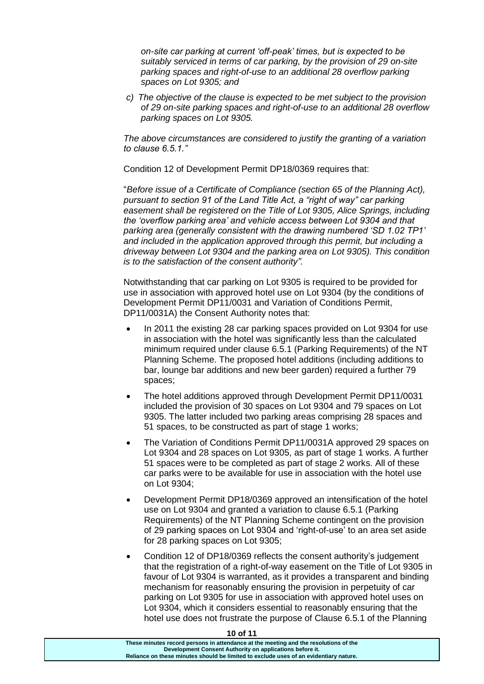*on-site car parking at current 'off-peak' times, but is expected to be suitably serviced in terms of car parking, by the provision of 29 on-site parking spaces and right-of-use to an additional 28 overflow parking spaces on Lot 9305; and*

*c) The objective of the clause is expected to be met subject to the provision of 29 on-site parking spaces and right-of-use to an additional 28 overflow parking spaces on Lot 9305.*

*The above circumstances are considered to justify the granting of a variation to clause 6.5.1."*

Condition 12 of Development Permit DP18/0369 requires that:

"*Before issue of a Certificate of Compliance (section 65 of the Planning Act), pursuant to section 91 of the Land Title Act, a "right of way" car parking easement shall be registered on the Title of Lot 9305, Alice Springs, including the 'overflow parking area' and vehicle access between Lot 9304 and that parking area (generally consistent with the drawing numbered 'SD 1.02 TP1' and included in the application approved through this permit, but including a driveway between Lot 9304 and the parking area on Lot 9305). This condition is to the satisfaction of the consent authority".*

Notwithstanding that car parking on Lot 9305 is required to be provided for use in association with approved hotel use on Lot 9304 (by the conditions of Development Permit DP11/0031 and Variation of Conditions Permit, DP11/0031A) the Consent Authority notes that:

- In 2011 the existing 28 car parking spaces provided on Lot 9304 for use in association with the hotel was significantly less than the calculated minimum required under clause 6.5.1 (Parking Requirements) of the NT Planning Scheme. The proposed hotel additions (including additions to bar, lounge bar additions and new beer garden) required a further 79 spaces;
- The hotel additions approved through Development Permit DP11/0031 included the provision of 30 spaces on Lot 9304 and 79 spaces on Lot 9305. The latter included two parking areas comprising 28 spaces and 51 spaces, to be constructed as part of stage 1 works;
- The Variation of Conditions Permit DP11/0031A approved 29 spaces on Lot 9304 and 28 spaces on Lot 9305, as part of stage 1 works. A further 51 spaces were to be completed as part of stage 2 works. All of these car parks were to be available for use in association with the hotel use on Lot 9304;
- Development Permit DP18/0369 approved an intensification of the hotel use on Lot 9304 and granted a variation to clause 6.5.1 (Parking Requirements) of the NT Planning Scheme contingent on the provision of 29 parking spaces on Lot 9304 and 'right-of-use' to an area set aside for 28 parking spaces on Lot 9305;
- Condition 12 of DP18/0369 reflects the consent authority's judgement that the registration of a right-of-way easement on the Title of Lot 9305 in favour of Lot 9304 is warranted, as it provides a transparent and binding mechanism for reasonably ensuring the provision in perpetuity of car parking on Lot 9305 for use in association with approved hotel uses on Lot 9304, which it considers essential to reasonably ensuring that the hotel use does not frustrate the purpose of Clause 6.5.1 of the Planning